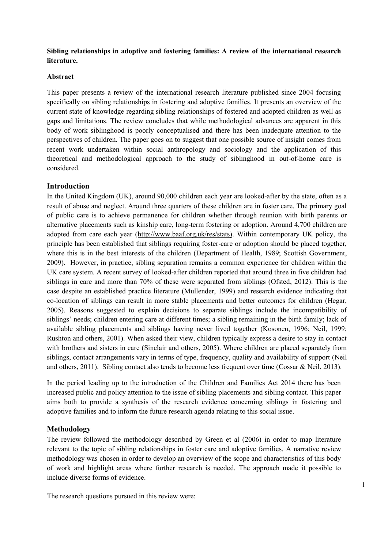**Sibling relationships in adoptive and fostering families: A review of the international research literature.**

## **Abstract**

This paper presents a review of the international research literature published since 2004 focusing specifically on sibling relationships in fostering and adoptive families. It presents an overview of the current state of knowledge regarding sibling relationships of fostered and adopted children as well as gaps and limitations. The review concludes that while methodological advances are apparent in this body of work siblinghood is poorly conceptualised and there has been inadequate attention to the perspectives of children. The paper goes on to suggest that one possible source of insight comes from recent work undertaken within social anthropology and sociology and the application of this theoretical and methodological approach to the study of siblinghood in out-of-home care is considered.

# **Introduction**

In the United Kingdom (UK), around 90,000 children each year are looked-after by the state, often as a result of abuse and neglect. Around three quarters of these children are in foster care. The primary goal of public care is to achieve permanence for children whether through reunion with birth parents or alternative placements such as kinship care, long-term fostering or adoption. Around 4,700 children are adopted from care each year (http://www.baaf.org.uk/res/stats). Within contemporary UK policy, the principle has been established that siblings requiring foster-care or adoption should be placed together, where this is in the best interests of the children (Department of Health, 1989; Scottish Government, 2009). However, in practice, sibling separation remains a common experience for children within the UK care system. A recent survey of looked-after children reported that around three in five children had siblings in care and more than 70% of these were separated from siblings (Ofsted, 2012). This is the case despite an established practice literature (Mullender, 1999) and research evidence indicating that co-location of siblings can result in more stable placements and better outcomes for children (Hegar, 2005). Reasons suggested to explain decisions to separate siblings include the incompatibility of siblings' needs; children entering care at different times; a sibling remaining in the birth family; lack of available sibling placements and siblings having never lived together (Kosonen, 1996; Neil, 1999; Rushton and others, 2001). When asked their view, children typically express a desire to stay in contact with brothers and sisters in care (Sinclair and others, 2005). Where children are placed separately from siblings, contact arrangements vary in terms of type, frequency, quality and availability of support (Neil and others, 2011). Sibling contact also tends to become less frequent over time (Cossar & Neil, 2013).

In the period leading up to the introduction of the Children and Families Act 2014 there has been increased public and policy attention to the issue of sibling placements and sibling contact. This paper aims both to provide a synthesis of the research evidence concerning siblings in fostering and adoptive families and to inform the future research agenda relating to this social issue.

# **Methodology**

The review followed the methodology described by Green et al (2006) in order to map literature relevant to the topic of sibling relationships in foster care and adoptive families. A narrative review methodology was chosen in order to develop an overview of the scope and characteristics of this body of work and highlight areas where further research is needed. The approach made it possible to include diverse forms of evidence.

The research questions pursued in this review were: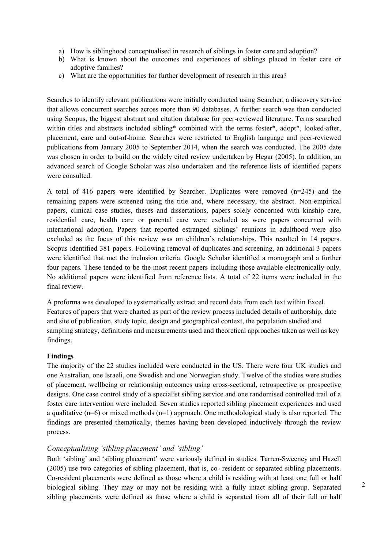- a) How is siblinghood conceptualised in research of siblings in foster care and adoption?
- b) What is known about the outcomes and experiences of siblings placed in foster care or adoptive families?
- c) What are the opportunities for further development of research in this area?

Searches to identify relevant publications were initially conducted using Searcher, a discovery service that allows concurrent searches across more than 90 databases. A further search was then conducted using Scopus, the biggest abstract and citation database for peer-reviewed literature. Terms searched within titles and abstracts included sibling\* combined with the terms foster\*, adopt\*, looked-after, placement, care and out-of-home. Searches were restricted to English language and peer-reviewed publications from January 2005 to September 2014, when the search was conducted. The 2005 date was chosen in order to build on the widely cited review undertaken by Hegar (2005). In addition, an advanced search of Google Scholar was also undertaken and the reference lists of identified papers were consulted.

A total of 416 papers were identified by Searcher. Duplicates were removed (n=245) and the remaining papers were screened using the title and, where necessary, the abstract. Non-empirical papers, clinical case studies, theses and dissertations, papers solely concerned with kinship care, residential care, health care or parental care were excluded as were papers concerned with international adoption. Papers that reported estranged siblings' reunions in adulthood were also excluded as the focus of this review was on children's relationships. This resulted in 14 papers. Scopus identified 381 papers. Following removal of duplicates and screening, an additional 3 papers were identified that met the inclusion criteria. Google Scholar identified a monograph and a further four papers. These tended to be the most recent papers including those available electronically only. No additional papers were identified from reference lists. A total of 22 items were included in the final review.

A proforma was developed to systematically extract and record data from each text within Excel. Features of papers that were charted as part of the review process included details of authorship, date and site of publication, study topic, design and geographical context, the population studied and sampling strategy, definitions and measurements used and theoretical approaches taken as well as key findings.

#### **Findings**

The majority of the 22 studies included were conducted in the US. There were four UK studies and one Australian, one Israeli, one Swedish and one Norwegian study. Twelve of the studies were studies of placement, wellbeing or relationship outcomes using cross-sectional, retrospective or prospective designs. One case control study of a specialist sibling service and one randomised controlled trail of a foster care intervention were included. Seven studies reported sibling placement experiences and used a qualitative  $(n=6)$  or mixed methods  $(n=1)$  approach. One methodological study is also reported. The findings are presented thematically, themes having been developed inductively through the review process.

#### *Conceptualising 'sibling placement' and 'sibling'*

Both 'sibling' and 'sibling placement' were variously defined in studies. Tarren-Sweeney and Hazell (2005) use two categories of sibling placement, that is, co- resident or separated sibling placements. Co-resident placements were defined as those where a child is residing with at least one full or half biological sibling. They may or may not be residing with a fully intact sibling group. Separated sibling placements were defined as those where a child is separated from all of their full or half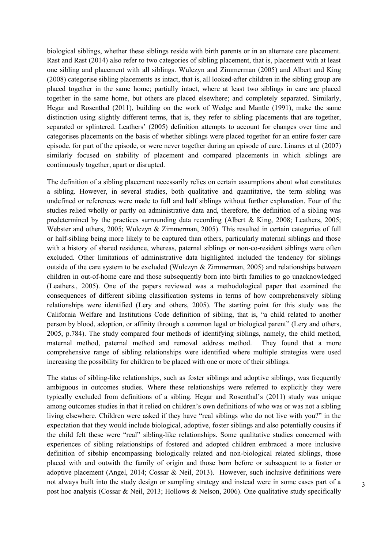biological siblings, whether these siblings reside with birth parents or in an alternate care placement. Rast and Rast (2014) also refer to two categories of sibling placement, that is, placement with at least one sibling and placement with all siblings. Wulczyn and Zimmerman (2005) and Albert and King (2008) categorise sibling placements as intact, that is, all looked-after children in the sibling group are placed together in the same home; partially intact, where at least two siblings in care are placed together in the same home, but others are placed elsewhere; and completely separated. Similarly, Hegar and Rosenthal (2011), building on the work of Wedge and Mantle (1991), make the same distinction using slightly different terms, that is, they refer to sibling placements that are together, separated or splintered. Leathers' (2005) definition attempts to account for changes over time and categorises placements on the basis of whether siblings were placed together for an entire foster care episode, for part of the episode, or were never together during an episode of care. Linares et al (2007) similarly focused on stability of placement and compared placements in which siblings are continuously together, apart or disrupted.

The definition of a sibling placement necessarily relies on certain assumptions about what constitutes a sibling. However, in several studies, both qualitative and quantitative, the term sibling was undefined or references were made to full and half siblings without further explanation. Four of the studies relied wholly or partly on administrative data and, therefore, the definition of a sibling was predetermined by the practices surrounding data recording (Albert & King, 2008; Leathers, 2005; Webster and others, 2005; Wulczyn & Zimmerman, 2005). This resulted in certain categories of full or half-sibling being more likely to be captured than others, particularly maternal siblings and those with a history of shared residence, whereas, paternal siblings or non-co-resident siblings were often excluded. Other limitations of administrative data highlighted included the tendency for siblings outside of the care system to be excluded (Wulczyn & Zimmerman, 2005) and relationships between children in out-of-home care and those subsequently born into birth families to go unacknowledged (Leathers*.*, 2005). One of the papers reviewed was a methodological paper that examined the consequences of different sibling classification systems in terms of how comprehensively sibling relationships were identified (Lery and others, 2005). The starting point for this study was the California Welfare and Institutions Code definition of sibling, that is, "a child related to another person by blood, adoption, or affinity through a common legal or biological parent" (Lery and others, 2005, p.784). The study compared four methods of identifying siblings, namely, the child method, maternal method, paternal method and removal address method. They found that a more comprehensive range of sibling relationships were identified where multiple strategies were used increasing the possibility for children to be placed with one or more of their siblings.

The status of sibling-like relationships, such as foster siblings and adoptive siblings, was frequently ambiguous in outcomes studies. Where these relationships were referred to explicitly they were typically excluded from definitions of a sibling. Hegar and Rosenthal's (2011) study was unique among outcomes studies in that it relied on children's own definitions of who was or was not a sibling living elsewhere. Children were asked if they have "real siblings who do not live with you?" in the expectation that they would include biological, adoptive, foster siblings and also potentially cousins if the child felt these were "real" sibling-like relationships. Some qualitative studies concerned with experiences of sibling relationships of fostered and adopted children embraced a more inclusive definition of sibship encompassing biologically related and non-biological related siblings, those placed with and outwith the family of origin and those born before or subsequent to a foster or adoptive placement (Angel, 2014; Cossar & Neil, 2013). However, such inclusive definitions were not always built into the study design or sampling strategy and instead were in some cases part of a post hoc analysis (Cossar & Neil, 2013; Hollows & Nelson, 2006). One qualitative study specifically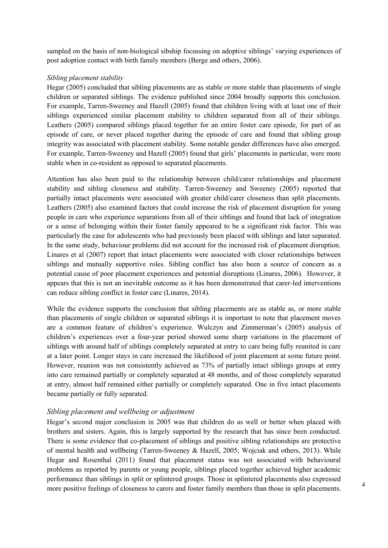sampled on the basis of non-biological sibship focussing on adoptive siblings' varying experiences of post adoption contact with birth family members (Berge and others, 2006).

# *Sibling placement stability*

Hegar (2005) concluded that sibling placements are as stable or more stable than placements of single children or separated siblings. The evidence published since 2004 broadly supports this conclusion. For example, Tarren-Sweeney and Hazell (2005) found that children living with at least one of their siblings experienced similar placement stability to children separated from all of their siblings. Leathers (2005) compared siblings placed together for an entire foster care episode, for part of an episode of care, or never placed together during the episode of care and found that sibling group integrity was associated with placement stability. Some notable gender differences have also emerged. For example, Tarren-Sweeney and Hazell (2005) found that girls' placements in particular, were more stable when in co-resident as opposed to separated placements.

Attention has also been paid to the relationship between child/carer relationships and placement stability and sibling closeness and stability. Tarren-Sweeney and Sweeney (2005) reported that partially intact placements were associated with greater child/carer closeness than split placements. Leathers (2005) also examined factors that could increase the risk of placement disruption for young people in care who experience separations from all of their siblings and found that lack of integration or a sense of belonging within their foster family appeared to be a significant risk factor. This was particularly the case for adolescents who had previously been placed with siblings and later separated. In the same study, behaviour problems did not account for the increased risk of placement disruption. Linares et al (2007) report that intact placements were associated with closer relationships between siblings and mutually supportive roles. Sibling conflict has also been a source of concern as a potential cause of poor placement experiences and potential disruptions (Linares, 2006). However, it appears that this is not an inevitable outcome as it has been demonstrated that carer-led interventions can reduce sibling conflict in foster care (Linares, 2014).

While the evidence supports the conclusion that sibling placements are as stable as, or more stable than placements of single children or separated siblings it is important to note that placement moves are a common feature of children's experience. Wulczyn and Zimmerman's (2005) analysis of children's experiences over a four-year period showed some sharp variations in the placement of siblings with around half of siblings completely separated at entry to care being fully reunited in care at a later point. Longer stays in care increased the likelihood of joint placement at some future point. However, reunion was not consistently achieved as 73% of partially intact siblings groups at entry into care remained partially or completely separated at 48 months, and of those completely separated at entry, almost half remained either partially or completely separated. One in five intact placements became partially or fully separated.

# *Sibling placement and wellbeing or adjustment*

Hegar's second major conclusion in 2005 was that children do as well or better when placed with brothers and sisters. Again, this is largely supported by the research that has since been conducted. There is some evidence that co-placement of siblings and positive sibling relationships are protective of mental health and wellbeing (Tarren-Sweeney & Hazell, 2005; Wojciak and others, 2013). While Hegar and Rosenthal (2011) found that placement status was not associated with behavioural problems as reported by parents or young people, siblings placed together achieved higher academic performance than siblings in split or splintered groups. Those in splintered placements also expressed more positive feelings of closeness to carers and foster family members than those in split placements.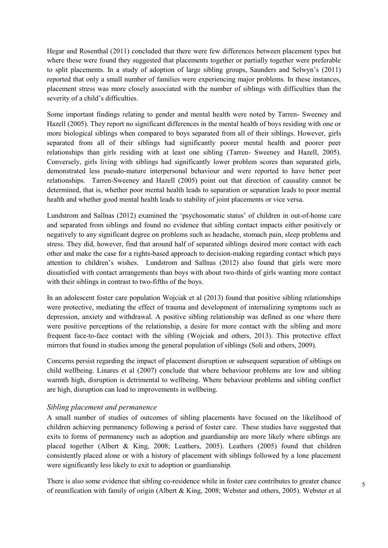Hegar and Rosenthal (2011) concluded that there were few differences between placement types but where these were found they suggested that placements together or partially together were preferable to split placements. In a study of adoption of large sibling groups, Saunders and Selwyn's (2011) reported that only a small number of families were experiencing major problems. In these instances, placement stress was more closely associated with the number of siblings with difficulties than the severity of a child's difficulties.

Some important findings relating to gender and mental health were noted by Tarren- Sweeney and Hazell (2005). They report no significant differences in the mental health of boys residing with one or more biological siblings when compared to boys separated from all of their siblings. However, girls separated from all of their siblings had significantly poorer mental health and poorer peer relationships than girls residing with at least one sibling (Tarren- Sweeney and Hazell, 2005). Conversely, girls living with siblings had significantly lower problem scores than separated girls, demonstrated less pseudo-mature interpersonal behaviour and were reported to have better peer relationships. Tarren-Sweeney and Hazell (2005) point out that direction of causality cannot be determined, that is, whether poor mental health leads to separation or separation leads to poor mental health and whether good mental health leads to stability of joint placements or vice versa.

Lundstrom and Sallnas (2012) examined the 'psychosomatic status' of children in out-of-home care and separated from siblings and found no evidence that sibling contact impacts either positively or negatively to any significant degree on problems such as headache, stomach pain, sleep problems and stress. They did, however, find that around half of separated siblings desired more contact with each other and make the case for a rights-based approach to decision-making regarding contact which pays attention to children's wishes. Lundstrom and Sallnas (2012) also found that girls were more dissatisfied with contact arrangements than boys with about two-thirds of girls wanting more contact with their siblings in contrast to two-fifths of the boys.

In an adolescent foster care population Wojciak et al (2013) found that positive sibling relationships were protective, mediating the effect of trauma and development of internalizing symptoms such as depression, anxiety and withdrawal. A positive sibling relationship was defined as one where there were positive perceptions of the relationship, a desire for more contact with the sibling and more frequent face-to-face contact with the sibling (Wojciak and others, 2013). This protective effect mirrors that found in studies among the general population of siblings (Soli and others, 2009).

Concerns persist regarding the impact of placement disruption or subsequent separation of siblings on child wellbeing. Linares et al (2007) conclude that where behaviour problems are low and sibling warmth high, disruption is detrimental to wellbeing. Where behaviour problems and sibling conflict are high, disruption can lead to improvements in wellbeing.

## *Sibling placement and permanence*

A small number of studies of outcomes of sibling placements have focused on the likelihood of children achieving permanency following a period of foster care. These studies have suggested that exits to forms of permanency such as adoption and guardianship are more likely where siblings are placed together (Albert & King, 2008; Leathers, 2005). Leathers (2005) found that children consistently placed alone or with a history of placement with siblings followed by a lone placement were significantly less likely to exit to adoption or guardianship.

There is also some evidence that sibling co-residence while in foster care contributes to greater chance of reunification with family of origin (Albert & King, 2008; Webster and others, 2005). Webster et al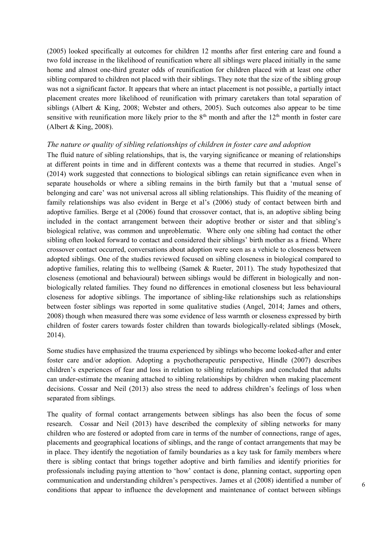(2005) looked specifically at outcomes for children 12 months after first entering care and found a two fold increase in the likelihood of reunification where all siblings were placed initially in the same home and almost one-third greater odds of reunification for children placed with at least one other sibling compared to children not placed with their siblings. They note that the size of the sibling group was not a significant factor. It appears that where an intact placement is not possible, a partially intact placement creates more likelihood of reunification with primary caretakers than total separation of siblings (Albert & King, 2008; Webster and others, 2005). Such outcomes also appear to be time sensitive with reunification more likely prior to the  $8<sup>th</sup>$  month and after the  $12<sup>th</sup>$  month in foster care (Albert & King, 2008).

### *The nature or quality of sibling relationships of children in foster care and adoption*

The fluid nature of sibling relationships, that is, the varying significance or meaning of relationships at different points in time and in different contexts was a theme that recurred in studies. Angel's (2014) work suggested that connections to biological siblings can retain significance even when in separate households or where a sibling remains in the birth family but that a 'mutual sense of belonging and care' was not universal across all sibling relationships. This fluidity of the meaning of family relationships was also evident in Berge et al's (2006) study of contact between birth and adoptive families. Berge et al (2006) found that crossover contact, that is, an adoptive sibling being included in the contact arrangement between their adoptive brother or sister and that sibling's biological relative, was common and unproblematic. Where only one sibling had contact the other sibling often looked forward to contact and considered their siblings' birth mother as a friend. Where crossover contact occurred, conversations about adoption were seen as a vehicle to closeness between adopted siblings. One of the studies reviewed focused on sibling closeness in biological compared to adoptive families, relating this to wellbeing (Samek & Rueter, 2011). The study hypothesized that closeness (emotional and behavioural) between siblings would be different in biologically and nonbiologically related families. They found no differences in emotional closeness but less behavioural closeness for adoptive siblings. The importance of sibling-like relationships such as relationships between foster siblings was reported in some qualitative studies (Angel, 2014; James and others, 2008) though when measured there was some evidence of less warmth or closeness expressed by birth children of foster carers towards foster children than towards biologically-related siblings (Mosek, 2014).

Some studies have emphasized the trauma experienced by siblings who become looked-after and enter foster care and/or adoption. Adopting a psychotherapeutic perspective, Hindle (2007) describes children's experiences of fear and loss in relation to sibling relationships and concluded that adults can under-estimate the meaning attached to sibling relationships by children when making placement decisions. Cossar and Neil (2013) also stress the need to address children's feelings of loss when separated from siblings.

The quality of formal contact arrangements between siblings has also been the focus of some research. Cossar and Neil (2013) have described the complexity of sibling networks for many children who are fostered or adopted from care in terms of the number of connections, range of ages, placements and geographical locations of siblings, and the range of contact arrangements that may be in place. They identify the negotiation of family boundaries as a key task for family members where there is sibling contact that brings together adoptive and birth families and identify priorities for professionals including paying attention to 'how' contact is done, planning contact, supporting open communication and understanding children's perspectives. James et al (2008) identified a number of conditions that appear to influence the development and maintenance of contact between siblings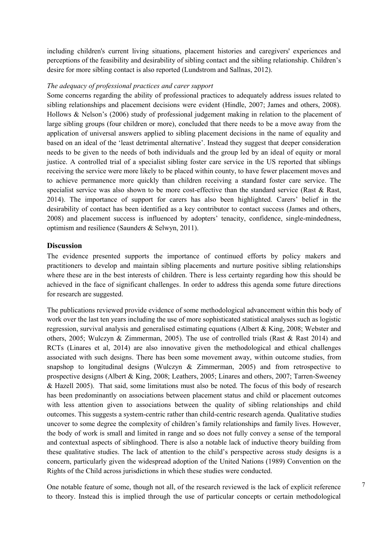including children's current living situations, placement histories and caregivers' experiences and perceptions of the feasibility and desirability of sibling contact and the sibling relationship. Children's desire for more sibling contact is also reported (Lundstrom and Sallnas, 2012).

## *The adequacy of professional practices and carer support*

Some concerns regarding the ability of professional practices to adequately address issues related to sibling relationships and placement decisions were evident (Hindle, 2007; James and others, 2008). Hollows & Nelson's (2006) study of professional judgement making in relation to the placement of large sibling groups (four children or more), concluded that there needs to be a move away from the application of universal answers applied to sibling placement decisions in the name of equality and based on an ideal of the 'least detrimental alternative'. Instead they suggest that deeper consideration needs to be given to the needs of both individuals and the group led by an ideal of equity or moral justice. A controlled trial of a specialist sibling foster care service in the US reported that siblings receiving the service were more likely to be placed within county, to have fewer placement moves and to achieve permanence more quickly than children receiving a standard foster care service. The specialist service was also shown to be more cost-effective than the standard service (Rast & Rast, 2014). The importance of support for carers has also been highlighted. Carers' belief in the desirability of contact has been identified as a key contributor to contact success (James and others, 2008) and placement success is influenced by adopters' tenacity, confidence, single-mindedness, optimism and resilience (Saunders & Selwyn, 2011).

### **Discussion**

The evidence presented supports the importance of continued efforts by policy makers and practitioners to develop and maintain sibling placements and nurture positive sibling relationships where these are in the best interests of children. There is less certainty regarding how this should be achieved in the face of significant challenges. In order to address this agenda some future directions for research are suggested.

The publications reviewed provide evidence of some methodological advancement within this body of work over the last ten years including the use of more sophisticated statistical analyses such as logistic regression, survival analysis and generalised estimating equations (Albert & King, 2008; Webster and others, 2005; Wulczyn & Zimmerman, 2005). The use of controlled trials (Rast & Rast 2014) and RCTs (Linares et al, 2014) are also innovative given the methodological and ethical challenges associated with such designs. There has been some movement away, within outcome studies, from snapshop to longitudinal designs (Wulczyn  $\&$  Zimmerman, 2005) and from retrospective to prospective designs (Albert & King, 2008; Leathers, 2005; Linares and others, 2007; Tarren-Sweeney & Hazell 2005). That said, some limitations must also be noted. The focus of this body of research has been predominantly on associations between placement status and child or placement outcomes with less attention given to associations between the quality of sibling relationships and child outcomes. This suggests a system-centric rather than child-centric research agenda. Qualitative studies uncover to some degree the complexity of children's family relationships and family lives. However, the body of work is small and limited in range and so does not fully convey a sense of the temporal and contextual aspects of siblinghood. There is also a notable lack of inductive theory building from these qualitative studies. The lack of attention to the child's perspective across study designs is a concern, particularly given the widespread adoption of the United Nations (1989) Convention on the Rights of the Child across jurisdictions in which these studies were conducted.

One notable feature of some, though not all, of the research reviewed is the lack of explicit reference to theory. Instead this is implied through the use of particular concepts or certain methodological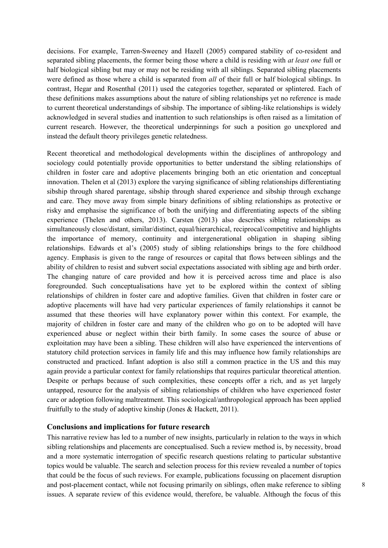decisions. For example, Tarren-Sweeney and Hazell (2005) compared stability of co-resident and separated sibling placements, the former being those where a child is residing with *at least one* full or half biological sibling but may or may not be residing with all siblings. Separated sibling placements were defined as those where a child is separated from *all* of their full or half biological siblings. In contrast, Hegar and Rosenthal (2011) used the categories together, separated or splintered. Each of these definitions makes assumptions about the nature of sibling relationships yet no reference is made to current theoretical understandings of sibship. The importance of sibling-like relationships is widely acknowledged in several studies and inattention to such relationships is often raised as a limitation of current research. However, the theoretical underpinnings for such a position go unexplored and instead the default theory privileges genetic relatedness.

Recent theoretical and methodological developments within the disciplines of anthropology and sociology could potentially provide opportunities to better understand the sibling relationships of children in foster care and adoptive placements bringing both an etic orientation and conceptual innovation. Thelen et al (2013) explore the varying significance of sibling relationships differentiating sibship through shared parentage, sibship through shared experience and sibship through exchange and care. They move away from simple binary definitions of sibling relationships as protective or risky and emphasise the significance of both the unifying and differentiating aspects of the sibling experience (Thelen and others, 2013). Carsten (2013) also describes sibling relationships as simultaneously close/distant, similar/distinct, equal/hierarchical, reciprocal/competitive and highlights the importance of memory, continuity and intergenerational obligation in shaping sibling relationships. Edwards et al's (2005) study of sibling relationships brings to the fore childhood agency. Emphasis is given to the range of resources or capital that flows between siblings and the ability of children to resist and subvert social expectations associated with sibling age and birth order. The changing nature of care provided and how it is perceived across time and place is also foregrounded. Such conceptualisations have yet to be explored within the context of sibling relationships of children in foster care and adoptive families. Given that children in foster care or adoptive placements will have had very particular experiences of family relationships it cannot be assumed that these theories will have explanatory power within this context. For example, the majority of children in foster care and many of the children who go on to be adopted will have experienced abuse or neglect within their birth family. In some cases the source of abuse or exploitation may have been a sibling. These children will also have experienced the interventions of statutory child protection services in family life and this may influence how family relationships are constructed and practiced. Infant adoption is also still a common practice in the US and this may again provide a particular context for family relationships that requires particular theoretical attention. Despite or perhaps because of such complexities, these concepts offer a rich, and as yet largely untapped, resource for the analysis of sibling relationships of children who have experienced foster care or adoption following maltreatment. This sociological/anthropological approach has been applied fruitfully to the study of adoptive kinship (Jones & Hackett, 2011).

#### **Conclusions and implications for future research**

This narrative review has led to a number of new insights, particularly in relation to the ways in which sibling relationships and placements are conceptualised. Such a review method is, by necessity, broad and a more systematic interrogation of specific research questions relating to particular substantive topics would be valuable. The search and selection process for this review revealed a number of topics that could be the focus of such reviews. For example, publications focussing on placement disruption and post-placement contact, while not focusing primarily on siblings, often make reference to sibling issues. A separate review of this evidence would, therefore, be valuable. Although the focus of this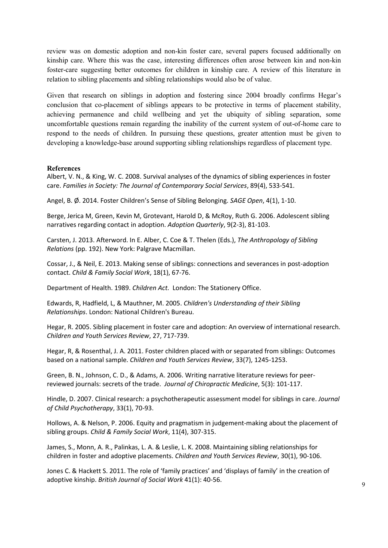review was on domestic adoption and non-kin foster care, several papers focused additionally on kinship care. Where this was the case, interesting differences often arose between kin and non-kin foster-care suggesting better outcomes for children in kinship care. A review of this literature in relation to sibling placements and sibling relationships would also be of value.

Given that research on siblings in adoption and fostering since 2004 broadly confirms Hegar's conclusion that co-placement of siblings appears to be protective in terms of placement stability, achieving permanence and child wellbeing and yet the ubiquity of sibling separation, some uncomfortable questions remain regarding the inability of the current system of out-of-home care to respond to the needs of children. In pursuing these questions, greater attention must be given to developing a knowledge-base around supporting sibling relationships regardless of placement type.

### **References**

Albert, V. N., & King, W. C. 2008. Survival analyses of the dynamics of sibling experiences in foster care. *Families in Society: The Journal of Contemporary Social Services*, 89(4), 533-541.

Angel, B. Ø. 2014. Foster Children's Sense of Sibling Belonging. *SAGE Open*, 4(1), 1-10.

Berge, Jerica M, Green, Kevin M, Grotevant, Harold D, & McRoy, Ruth G. 2006. Adolescent sibling narratives regarding contact in adoption. *Adoption Quarterly*, 9(2-3), 81-103.

Carsten, J. 2013. Afterword. In E. Alber, C. Coe & T. Thelen (Eds.), *The Anthropology of Sibling Relations* (pp. 192). New York: Palgrave Macmillan.

Cossar, J., & Neil, E. 2013. Making sense of siblings: connections and severances in post‐adoption contact. *Child & Family Social Work*, 18(1), 67-76.

Department of Health. 1989. *Children Act.* London: The Stationery Office.

Edwards, R, Hadfield, L, & Mauthner, M. 2005. *Children's Understanding of their Sibling Relationships*. London: National Children's Bureau.

Hegar, R. 2005. Sibling placement in foster care and adoption: An overview of international research. *Children and Youth Services Review*, 27, 717-739.

Hegar, R, & Rosenthal, J. A. 2011. Foster children placed with or separated from siblings: Outcomes based on a national sample. *Children and Youth Services Review*, 33(7), 1245-1253.

Green, B. N., Johnson, C. D., & Adams, A. 2006. Writing narrative literature reviews for peerreviewed journals: secrets of the trade. *Journal of Chiropractic Medicine*, 5(3): 101-117.

Hindle, D. 2007. Clinical research: a psychotherapeutic assessment model for siblings in care. *Journal of Child Psychotherapy*, 33(1), 70-93.

Hollows, A. & Nelson, P. 2006. Equity and pragmatism in judgement‐making about the placement of sibling groups. *Child & Family Social Work*, 11(4), 307-315.

James, S., Monn, A. R., Palinkas, L. A. & Leslie, L. K. 2008. Maintaining sibling relationships for children in foster and adoptive placements. *Children and Youth Services Review*, 30(1), 90-106.

Jones C. & Hackett S. 2011. The role of 'family practices' and 'displays of family' in the creation of adoptive kinship. *British Journal of Social Work* 41(1): 40-56.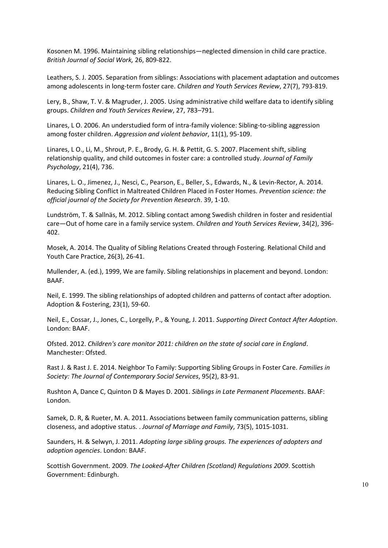Kosonen M. 1996. Maintaining sibling relationships—neglected dimension in child care practice. *British Journal of Social Work,* 26, 809-822.

Leathers, S. J. 2005. Separation from siblings: Associations with placement adaptation and outcomes among adolescents in long-term foster care. *Children and Youth Services Review*, 27(7), 793-819.

Lery, B., Shaw, T. V. & Magruder, J. 2005. Using administrative child welfare data to identify sibling groups. *Children and Youth Services Review*, 27, 783–791.

Linares, L O. 2006. An understudied form of intra-family violence: Sibling-to-sibling aggression among foster children. *Aggression and violent behavior*, 11(1), 95-109.

Linares, L O., Li, M., Shrout, P. E., Brody, G. H. & Pettit, G. S. 2007. Placement shift, sibling relationship quality, and child outcomes in foster care: a controlled study. *Journal of Family Psychology*, 21(4), 736.

Linares, L. O., Jimenez, J., Nesci, C., Pearson, E., Beller, S., Edwards, N., & Levin-Rector, A. 2014. Reducing Sibling Conflict in Maltreated Children Placed in Foster Homes. *Prevention science: the official journal of the Society for Prevention Research*. 39, 1-10.

Lundström, T. & Sallnäs, M. 2012. Sibling contact among Swedish children in foster and residential care—Out of home care in a family service system. *Children and Youth Services Review*, 34(2), 396- 402.

Mosek, A. 2014. The Quality of Sibling Relations Created through Fostering. Relational Child and Youth Care Practice, 26(3), 26-41.

Mullender, A. (ed.), 1999, We are family. Sibling relationships in placement and beyond. London: BAAF.

Neil, E. 1999. The sibling relationships of adopted children and patterns of contact after adoption. Adoption & Fostering, 23(1), 59-60.

Neil, E., Cossar, J., Jones, C., Lorgelly, P., & Young, J. 2011. *Supporting Direct Contact After Adoption*. London: BAAF.

Ofsted. 2012. *Children's care monitor 2011: children on the state of social care in England*. Manchester: Ofsted.

Rast J. & Rast J. E. 2014. Neighbor To Family: Supporting Sibling Groups in Foster Care. *Families in Society: The Journal of Contemporary Social Services*, 95(2), 83-91.

Rushton A, Dance C, Quinton D & Mayes D. 2001. *Siblings in Late Permanent Placements*. BAAF: London.

Samek, D. R, & Rueter, M. A. 2011. Associations between family communication patterns, sibling closeness, and adoptive status. . *Journal of Marriage and Family*, 73(5), 1015-1031.

Saunders, H. & Selwyn, J. 2011. *Adopting large sibling groups. The experiences of adopters and adoption agencies*. London: BAAF.

Scottish Government. 2009. *The Looked-After Children (Scotland) Regulations 2009*. Scottish Government: Edinburgh.